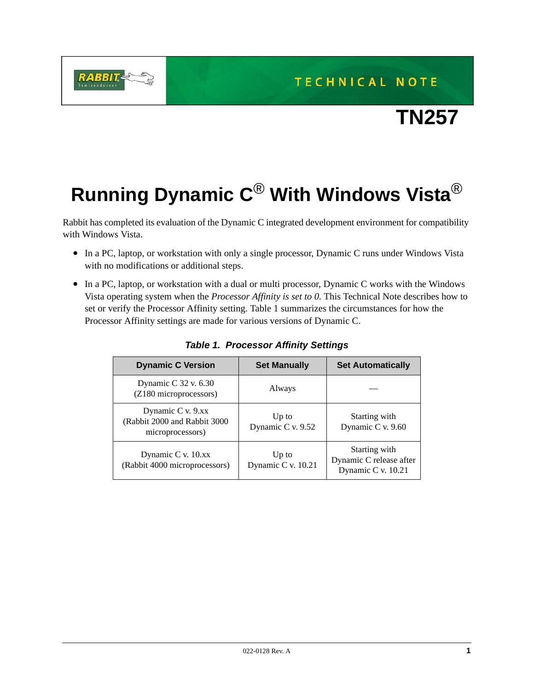**TECHNICAL NOTE** 



## **Running Dynamic C**® **With Windows Vista**®

**RABBIT** 

Rabbit has completed its evaluation of the Dynamic C integrated development environment for compatibility with Windows Vista.

- In a PC, laptop, or workstation with only a single processor, Dynamic C runs under Windows Vista with no modifications or additional steps.
- In a PC, laptop, or workstation with a dual or multi processor, Dynamic C works with the Windows Vista operating system when the *Processor Affinity is set to 0*. This Technical Note describes how to set or verify the Processor Affinity setting. [Table 1](#page-0-0) summarizes the circumstances for how the Processor Affinity settings are made for various versions of Dynamic C.

<span id="page-0-0"></span>

| <b>Dynamic C Version</b>                                              | <b>Set Manually</b>         | <b>Set Automatically</b>                                       |
|-----------------------------------------------------------------------|-----------------------------|----------------------------------------------------------------|
| Dynamic C 32 v. 6.30<br>(Z180 microprocessors)                        | Always                      |                                                                |
| Dynamic C v. 9.xx<br>(Rabbit 2000 and Rabbit 3000<br>microprocessors) | Up to<br>Dynamic C v. 9.52  | Starting with<br>Dynamic C v. 9.60                             |
| Dynamic C v. 10.xx<br>(Rabbit 4000 microprocessors)                   | Up to<br>Dynamic C v. 10.21 | Starting with<br>Dynamic C release after<br>Dynamic C v. 10.21 |

*Table 1. Processor Affinity Settings*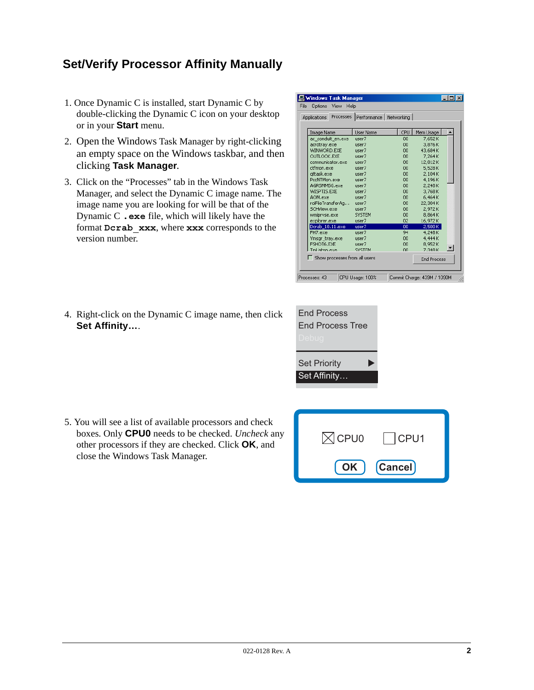## **Set/Verify Processor Affinity Manually**

- 1. Once Dynamic C is installed, start Dynamic C by double-clicking the Dynamic C icon on your desktop or in your **Start** menu.
- 2. Open the Windows Task Manager by right-clicking an empty space on the Windows taskbar, and then clicking **Task Manager**.
- 3. Click on the "Processes" tab in the Windows Task Manager, and select the Dynamic C image name. The image name you are looking for will be that of the Dynamic C **.exe** file, which will likely have the format **Dcrab\_xxx**, where **xxx** corresponds to the version number.

| <b>Windows Task Manager</b> |                               |                          |     |                             |  |
|-----------------------------|-------------------------------|--------------------------|-----|-----------------------------|--|
| <b>Options</b><br>File      | View<br>Help                  |                          |     |                             |  |
| <b>Applications</b>         | Processes                     | Performance   Networking |     |                             |  |
| Image Name                  |                               | <b>User Name</b>         | CPU | Mem Usage                   |  |
|                             | ac conduit en.exe             | user7                    | 00  | 7,652K                      |  |
| acrotray.exe                |                               | user7                    | 00  | 3,876K                      |  |
| WINWORD.EXE                 |                               | user7                    | 00  | 43,684K                     |  |
| OLITLOOK.EXE                |                               | user7                    | 00  | 7.264K                      |  |
|                             | communicator.exe              | user7                    | 00  | 12,812K                     |  |
| ctfmon.exe                  |                               | user7                    | 00  | 5,528K                      |  |
| attask.exe                  |                               | user7                    | 00  | 2.104K                      |  |
| PccNTMon.exe                |                               | user7                    | 00  | 4.196K                      |  |
| AGRSMMSG.exe                |                               | user7                    | 00  | 2,248K                      |  |
| WISPTIS.EXE                 |                               | user7                    | 00  | 3,768K                      |  |
| AOM.exe                     |                               | user7                    | 00  | 6,464K                      |  |
|                             | roiFileTransferAg             | user7                    | 00  | 22,304K                     |  |
| SCHView.exe                 |                               | user7                    | 00  | 2,972K                      |  |
| wmipryse.exe                |                               | <b>SYSTEM</b>            | 00  | 8,864K                      |  |
| explorer.exe                |                               | user7                    | 02  | 16,972K                     |  |
| Dcrab 10.11.exe             |                               | user7                    | 00  | 2,500 K                     |  |
| FH7.exe                     |                               | user7                    | 94  | 4,248K                      |  |
| Ymsgr_tray.exe              |                               | user7                    | 00  | 4,444K                      |  |
| FSHOT6.EXE                  |                               | user7                    | 00  | 8,952K                      |  |
| Tml isten.exe               |                               | <b>SYSTEM</b>            | nn  | 7.348K                      |  |
|                             | Show processes from all users |                          |     | <b>End Process</b>          |  |
| Processes: 43               |                               | CPU Usage: 100%          |     | Commit Charge: 439M / 1090M |  |

4. Right-click on the Dynamic C image name, then click **Set Affinity…**.

| <b>End Process</b>      |  |
|-------------------------|--|
| <b>End Process Tree</b> |  |
| Debug                   |  |
|                         |  |
| <b>Set Priority</b>     |  |
|                         |  |
| Set Affinity            |  |

5. You will see a list of available processors and check boxes. Only **CPU0** needs to be checked. *Uncheck* any other processors if they are checked. Click **OK**, and close the Windows Task Manager.

| $\boxtimes$ CPU0   CPU1 |
|-------------------------|
| [OK ] Cancel]           |